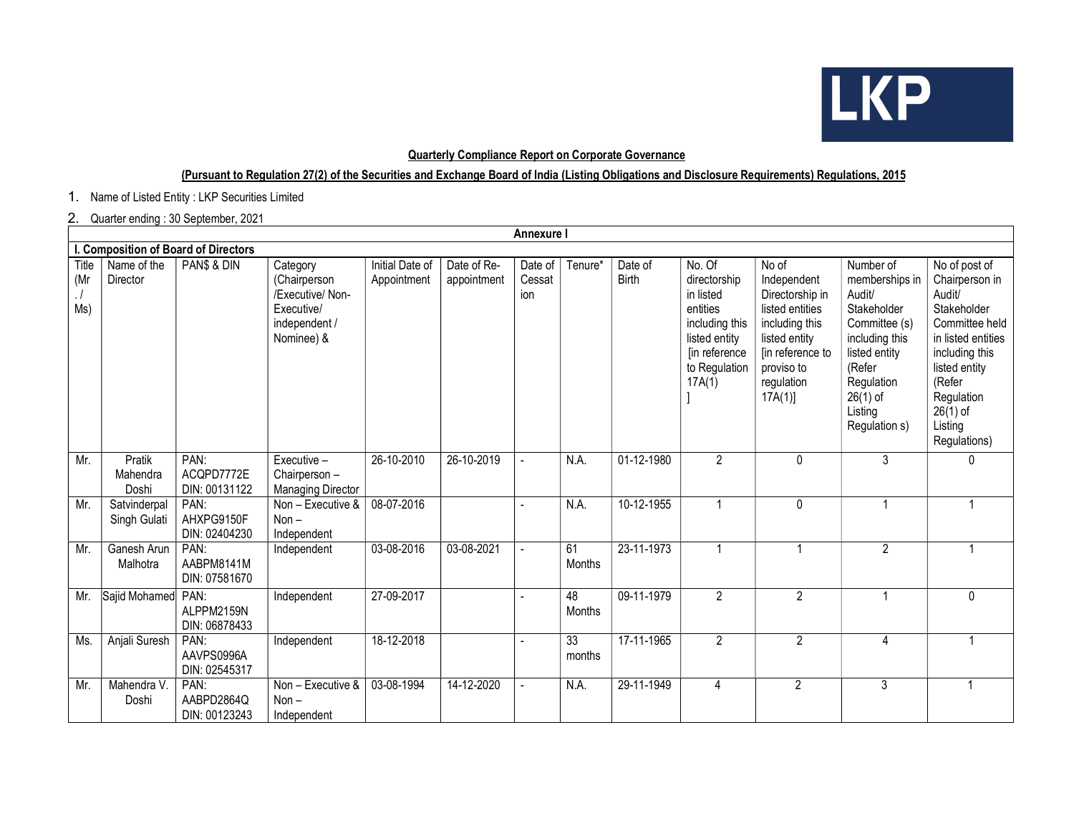

## Quarterly Compliance Report on Corporate Governance

## (Pursuant to Regulation 27(2) of the Securities and Exchange Board of India (Listing Obligations and Disclosure Requirements) Regulations, 2015

1. Name of Listed Entity : LKP Securities Limited

## 2. Quarter ending : 30 September, 2021

|                                      | <b>Annexure I</b>            |                                     |                                                                                           |                                |                            |                          |                     |                         |                                                                                                                                |                                                                                                                                                         |                                                                                                                                                                            |                                                                                                                                                                                                      |
|--------------------------------------|------------------------------|-------------------------------------|-------------------------------------------------------------------------------------------|--------------------------------|----------------------------|--------------------------|---------------------|-------------------------|--------------------------------------------------------------------------------------------------------------------------------|---------------------------------------------------------------------------------------------------------------------------------------------------------|----------------------------------------------------------------------------------------------------------------------------------------------------------------------------|------------------------------------------------------------------------------------------------------------------------------------------------------------------------------------------------------|
| I. Composition of Board of Directors |                              |                                     |                                                                                           |                                |                            |                          |                     |                         |                                                                                                                                |                                                                                                                                                         |                                                                                                                                                                            |                                                                                                                                                                                                      |
| Title<br>(Mr<br>$\cdot$ /<br>Ms)     | Name of the<br>Director      | PAN\$ & DIN                         | Category<br>(Chairperson<br>/Executive/ Non-<br>Executive/<br>independent /<br>Nominee) & | Initial Date of<br>Appointment | Date of Re-<br>appointment | Date of<br>Cessat<br>ion | Tenure*             | Date of<br><b>Birth</b> | No. Of<br>directorship<br>in listed<br>entities<br>including this<br>listed entity<br>[in reference<br>to Regulation<br>17A(1) | No of<br>Independent<br>Directorship in<br>listed entities<br>including this<br>listed entity<br>[in reference to<br>proviso to<br>regulation<br>17A(1) | Number of<br>memberships in<br>Audit/<br>Stakeholder<br>Committee (s)<br>including this<br>listed entity<br>(Refer<br>Regulation<br>$26(1)$ of<br>Listing<br>Regulation s) | No of post of<br>Chairperson in<br>Audit/<br>Stakeholder<br>Committee held<br>in listed entities<br>including this<br>listed entity<br>(Refer<br>Regulation<br>$26(1)$ of<br>Listing<br>Regulations) |
| Mr.                                  | Pratik<br>Mahendra<br>Doshi  | PAN:<br>ACQPD7772E<br>DIN: 00131122 | Executive -<br>Chairperson -<br><b>Managing Director</b>                                  | 26-10-2010                     | $\overline{26-10} - 2019$  |                          | N.A.                | 01-12-1980              | $\overline{2}$                                                                                                                 | $\mathbf{0}$                                                                                                                                            | $\mathbf{3}$                                                                                                                                                               | 0                                                                                                                                                                                                    |
| Mr.                                  | Satvinderpal<br>Singh Gulati | PAN:<br>AHXPG9150F<br>DIN: 02404230 | Non - Executive &<br>$Non -$<br>Independent                                               | 08-07-2016                     |                            |                          | N.A.                | 10-12-1955              | 1                                                                                                                              | $\mathbf{0}$                                                                                                                                            |                                                                                                                                                                            |                                                                                                                                                                                                      |
| Mr.                                  | Ganesh Arun<br>Malhotra      | PAN:<br>AABPM8141M<br>DIN: 07581670 | Independent                                                                               | 03-08-2016                     | 03-08-2021                 |                          | 61<br><b>Months</b> | 23-11-1973              | 1                                                                                                                              | $\overline{1}$                                                                                                                                          | $\overline{2}$                                                                                                                                                             |                                                                                                                                                                                                      |
| Mr.                                  | Sajid Mohamed PAN:           | ALPPM2159N<br>DIN: 06878433         | Independent                                                                               | 27-09-2017                     |                            |                          | 48<br>Months        | 09-11-1979              | $\overline{2}$                                                                                                                 | $\overline{2}$                                                                                                                                          | $\mathbf{1}$                                                                                                                                                               | $\mathbf{0}$                                                                                                                                                                                         |
| Ms.                                  | Anjali Suresh                | PAN:<br>AAVPS0996A<br>DIN: 02545317 | Independent                                                                               | 18-12-2018                     |                            |                          | 33<br>months        | 17-11-1965              | $\overline{2}$                                                                                                                 | $\overline{2}$                                                                                                                                          | 4                                                                                                                                                                          |                                                                                                                                                                                                      |
| Mr.                                  | Mahendra V.<br>Doshi         | PAN:<br>AABPD2864Q<br>DIN: 00123243 | Non - Executive &<br>$Non -$<br>Independent                                               | 03-08-1994                     | 14-12-2020                 |                          | N.A.                | 29-11-1949              | 4                                                                                                                              | $\mathbf{2}$                                                                                                                                            | 3                                                                                                                                                                          |                                                                                                                                                                                                      |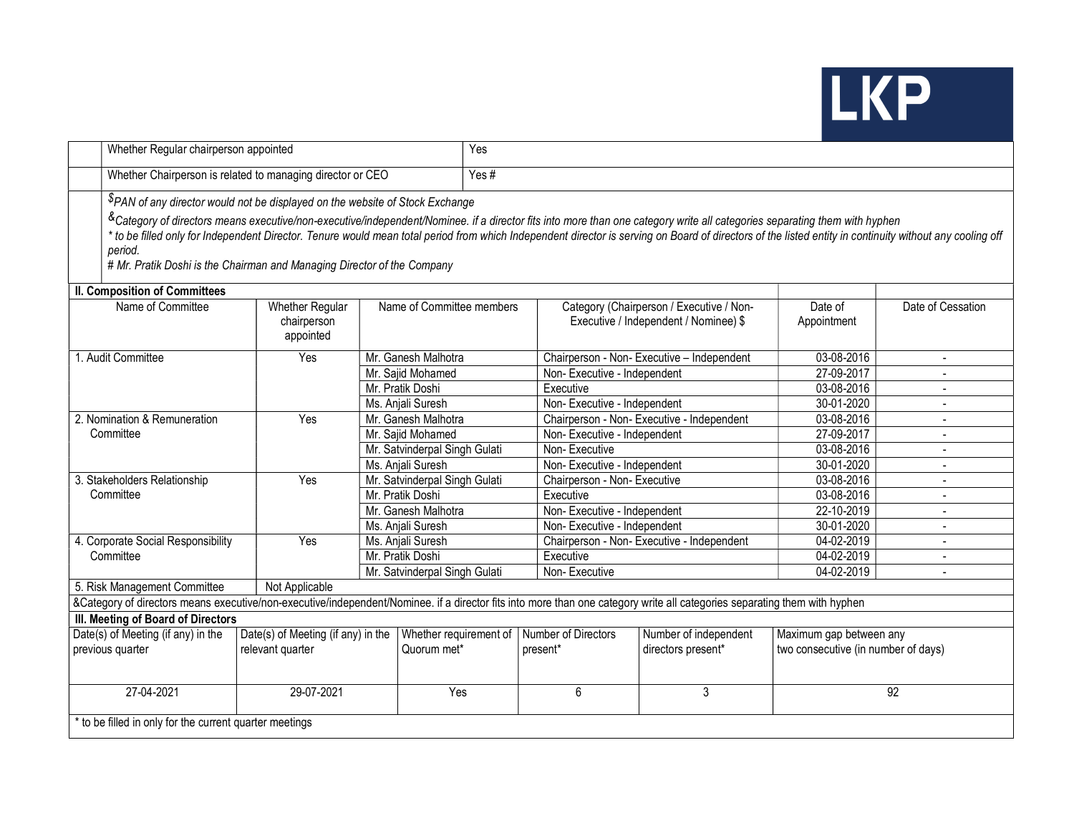

|                                                         | Whether Regular chairperson appointed                                                                                                                                                                                                                                                                                                                                                                                                                                                                                                                                                    |                                                        |                               |                                       | Yes                             |                                                                                   |                                                                |                   |  |  |
|---------------------------------------------------------|------------------------------------------------------------------------------------------------------------------------------------------------------------------------------------------------------------------------------------------------------------------------------------------------------------------------------------------------------------------------------------------------------------------------------------------------------------------------------------------------------------------------------------------------------------------------------------------|--------------------------------------------------------|-------------------------------|---------------------------------------|---------------------------------|-----------------------------------------------------------------------------------|----------------------------------------------------------------|-------------------|--|--|
|                                                         | Whether Chairperson is related to managing director or CEO                                                                                                                                                                                                                                                                                                                                                                                                                                                                                                                               |                                                        |                               |                                       | Yes#                            |                                                                                   |                                                                |                   |  |  |
|                                                         | <sup>\$</sup> PAN of any director would not be displayed on the website of Stock Exchange<br><sup>&amp;</sup> Category of directors means executive/non-executive/independent/Nominee. if a director fits into more than one category write all categories separating them with hyphen<br>* to be filled only for Independent Director. Tenure would mean total period from which Independent director is serving on Board of directors of the listed entity in continuity without any cooling off<br>period.<br># Mr. Pratik Doshi is the Chairman and Managing Director of the Company |                                                        |                               |                                       |                                 |                                                                                   |                                                                |                   |  |  |
|                                                         | <b>II. Composition of Committees</b>                                                                                                                                                                                                                                                                                                                                                                                                                                                                                                                                                     |                                                        |                               |                                       |                                 |                                                                                   |                                                                |                   |  |  |
|                                                         | Name of Committee                                                                                                                                                                                                                                                                                                                                                                                                                                                                                                                                                                        | <b>Whether Regular</b><br>chairperson<br>appointed     | Name of Committee members     |                                       |                                 | Category (Chairperson / Executive / Non-<br>Executive / Independent / Nominee) \$ | Date of<br>Appointment                                         | Date of Cessation |  |  |
|                                                         | 1. Audit Committee                                                                                                                                                                                                                                                                                                                                                                                                                                                                                                                                                                       | Yes                                                    | Mr. Ganesh Malhotra           |                                       |                                 | Chairperson - Non- Executive - Independent                                        | 03-08-2016                                                     | $\blacksquare$    |  |  |
|                                                         |                                                                                                                                                                                                                                                                                                                                                                                                                                                                                                                                                                                          |                                                        |                               | Mr. Sajid Mohamed                     | Non-Executive - Independent     |                                                                                   | 27-09-2017                                                     |                   |  |  |
|                                                         |                                                                                                                                                                                                                                                                                                                                                                                                                                                                                                                                                                                          |                                                        | Mr. Pratik Doshi              |                                       | Executive                       |                                                                                   |                                                                |                   |  |  |
|                                                         |                                                                                                                                                                                                                                                                                                                                                                                                                                                                                                                                                                                          |                                                        | Ms. Anjali Suresh             |                                       |                                 | Non-Executive - Independent                                                       |                                                                |                   |  |  |
| 2. Nomination & Remuneration                            |                                                                                                                                                                                                                                                                                                                                                                                                                                                                                                                                                                                          | Yes                                                    |                               | Mr. Ganesh Malhotra                   |                                 | Chairperson - Non- Executive - Independent                                        |                                                                | $\overline{a}$    |  |  |
| Committee                                               |                                                                                                                                                                                                                                                                                                                                                                                                                                                                                                                                                                                          |                                                        | Mr. Sajid Mohamed             |                                       | Non-Executive - Independent     |                                                                                   | 27-09-2017                                                     |                   |  |  |
|                                                         |                                                                                                                                                                                                                                                                                                                                                                                                                                                                                                                                                                                          |                                                        | Mr. Satvinderpal Singh Gulati |                                       | Non-Executive                   |                                                                                   | 03-08-2016<br>30-01-2020                                       |                   |  |  |
|                                                         |                                                                                                                                                                                                                                                                                                                                                                                                                                                                                                                                                                                          |                                                        |                               | Ms. Anjali Suresh                     |                                 | Non-Executive - Independent                                                       |                                                                |                   |  |  |
| 3. Stakeholders Relationship                            |                                                                                                                                                                                                                                                                                                                                                                                                                                                                                                                                                                                          | Yes                                                    |                               | Mr. Satvinderpal Singh Gulati         | Chairperson - Non- Executive    |                                                                                   | 03-08-2016                                                     |                   |  |  |
|                                                         | Committee                                                                                                                                                                                                                                                                                                                                                                                                                                                                                                                                                                                |                                                        | Mr. Pratik Doshi              |                                       | Executive                       |                                                                                   | 03-08-2016                                                     |                   |  |  |
|                                                         |                                                                                                                                                                                                                                                                                                                                                                                                                                                                                                                                                                                          |                                                        |                               | Mr. Ganesh Malhotra                   | Non-Executive - Independent     |                                                                                   | 22-10-2019                                                     | $\blacksquare$    |  |  |
|                                                         |                                                                                                                                                                                                                                                                                                                                                                                                                                                                                                                                                                                          |                                                        | Ms. Anjali Suresh             |                                       | Non-Executive - Independent     |                                                                                   | 30-01-2020                                                     | $\blacksquare$    |  |  |
|                                                         | 4. Corporate Social Responsibility                                                                                                                                                                                                                                                                                                                                                                                                                                                                                                                                                       | Yes                                                    |                               | Ms. Anjali Suresh                     |                                 | 04-02-2019<br>Chairperson - Non- Executive - Independent<br>04-02-2019            |                                                                | $\overline{a}$    |  |  |
| Committee                                               |                                                                                                                                                                                                                                                                                                                                                                                                                                                                                                                                                                                          |                                                        | Mr. Pratik Doshi              |                                       | Executive                       |                                                                                   |                                                                | $\blacksquare$    |  |  |
|                                                         |                                                                                                                                                                                                                                                                                                                                                                                                                                                                                                                                                                                          |                                                        | Mr. Satvinderpal Singh Gulati |                                       | Non-Executive                   |                                                                                   | 04-02-2019                                                     | $\blacksquare$    |  |  |
|                                                         | 5. Risk Management Committee                                                                                                                                                                                                                                                                                                                                                                                                                                                                                                                                                             | Not Applicable                                         |                               |                                       |                                 |                                                                                   |                                                                |                   |  |  |
|                                                         | &Category of directors means executive/non-executive/independent/Nominee. if a director fits into more than one category write all categories separating them with hyphen                                                                                                                                                                                                                                                                                                                                                                                                                |                                                        |                               |                                       |                                 |                                                                                   |                                                                |                   |  |  |
| III. Meeting of Board of Directors                      |                                                                                                                                                                                                                                                                                                                                                                                                                                                                                                                                                                                          |                                                        |                               |                                       |                                 |                                                                                   |                                                                |                   |  |  |
| Date(s) of Meeting (if any) in the<br>previous quarter  |                                                                                                                                                                                                                                                                                                                                                                                                                                                                                                                                                                                          | Date(s) of Meeting (if any) in the<br>relevant quarter |                               | Whether requirement of<br>Quorum met* | Number of Directors<br>present* | Number of independent<br>directors present*                                       | Maximum gap between any<br>two consecutive (in number of days) |                   |  |  |
| 27-04-2021                                              |                                                                                                                                                                                                                                                                                                                                                                                                                                                                                                                                                                                          | 29-07-2021                                             |                               | Yes                                   | 6                               | 3                                                                                 | $\overline{92}$                                                |                   |  |  |
| * to be filled in only for the current quarter meetings |                                                                                                                                                                                                                                                                                                                                                                                                                                                                                                                                                                                          |                                                        |                               |                                       |                                 |                                                                                   |                                                                |                   |  |  |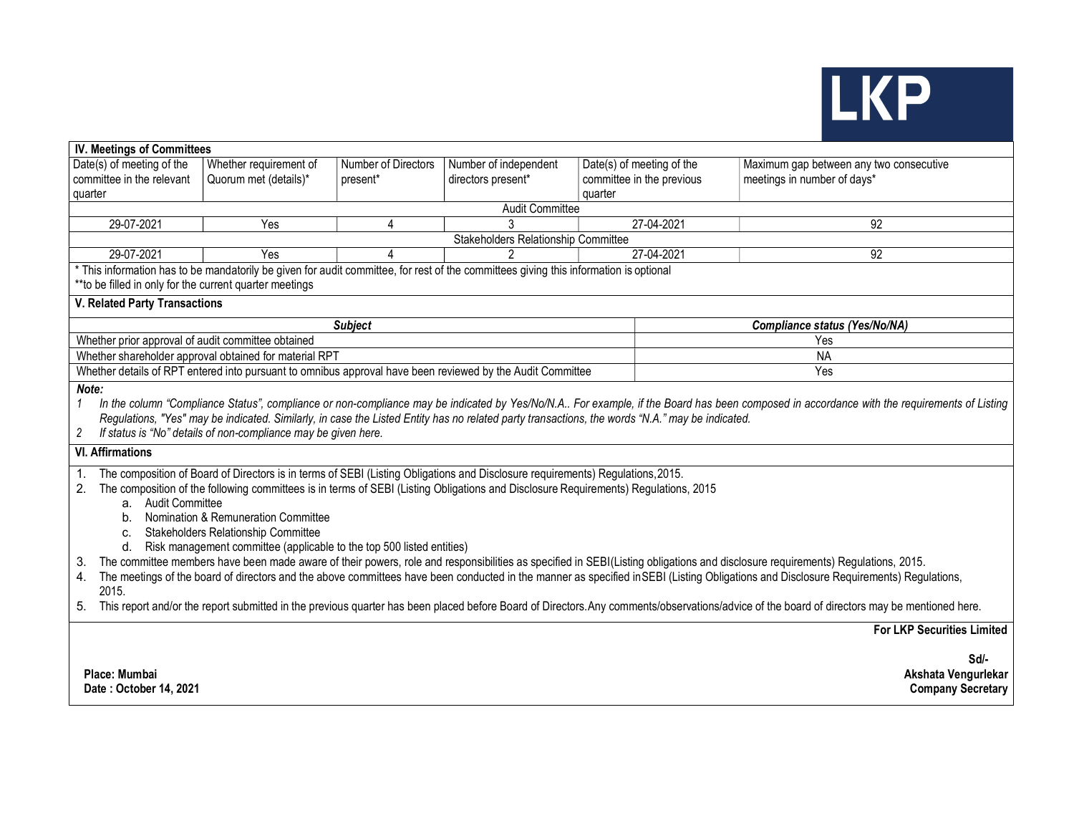

| <b>IV. Meetings of Committees</b>                                                                                                                                                                                                                                                                                                                                                                                                                                                                                                                                                                                                                                                                                                                                                                                                                                                                                                                                                                                                                                                                                     |                                                                                                            |                     |                        |                           |                                         |  |  |  |  |  |  |
|-----------------------------------------------------------------------------------------------------------------------------------------------------------------------------------------------------------------------------------------------------------------------------------------------------------------------------------------------------------------------------------------------------------------------------------------------------------------------------------------------------------------------------------------------------------------------------------------------------------------------------------------------------------------------------------------------------------------------------------------------------------------------------------------------------------------------------------------------------------------------------------------------------------------------------------------------------------------------------------------------------------------------------------------------------------------------------------------------------------------------|------------------------------------------------------------------------------------------------------------|---------------------|------------------------|---------------------------|-----------------------------------------|--|--|--|--|--|--|
| Date(s) of meeting of the                                                                                                                                                                                                                                                                                                                                                                                                                                                                                                                                                                                                                                                                                                                                                                                                                                                                                                                                                                                                                                                                                             | Whether requirement of                                                                                     | Number of Directors | Number of independent  | Date(s) of meeting of the | Maximum gap between any two consecutive |  |  |  |  |  |  |
| committee in the relevant                                                                                                                                                                                                                                                                                                                                                                                                                                                                                                                                                                                                                                                                                                                                                                                                                                                                                                                                                                                                                                                                                             | Quorum met (details)*                                                                                      | present*            | directors present*     | committee in the previous | meetings in number of days*             |  |  |  |  |  |  |
| quarter                                                                                                                                                                                                                                                                                                                                                                                                                                                                                                                                                                                                                                                                                                                                                                                                                                                                                                                                                                                                                                                                                                               |                                                                                                            |                     |                        | quarter                   |                                         |  |  |  |  |  |  |
|                                                                                                                                                                                                                                                                                                                                                                                                                                                                                                                                                                                                                                                                                                                                                                                                                                                                                                                                                                                                                                                                                                                       |                                                                                                            |                     | <b>Audit Committee</b> |                           |                                         |  |  |  |  |  |  |
| 29-07-2021                                                                                                                                                                                                                                                                                                                                                                                                                                                                                                                                                                                                                                                                                                                                                                                                                                                                                                                                                                                                                                                                                                            | Yes                                                                                                        | 4                   |                        | 27-04-2021                | 92                                      |  |  |  |  |  |  |
|                                                                                                                                                                                                                                                                                                                                                                                                                                                                                                                                                                                                                                                                                                                                                                                                                                                                                                                                                                                                                                                                                                                       | Stakeholders Relationship Committee                                                                        |                     |                        |                           |                                         |  |  |  |  |  |  |
| 29-07-2021                                                                                                                                                                                                                                                                                                                                                                                                                                                                                                                                                                                                                                                                                                                                                                                                                                                                                                                                                                                                                                                                                                            | Yes                                                                                                        | Δ                   |                        | 27-04-2021                | 92                                      |  |  |  |  |  |  |
| * This information has to be mandatorily be given for audit committee, for rest of the committees giving this information is optional<br>**to be filled in only for the current quarter meetings                                                                                                                                                                                                                                                                                                                                                                                                                                                                                                                                                                                                                                                                                                                                                                                                                                                                                                                      |                                                                                                            |                     |                        |                           |                                         |  |  |  |  |  |  |
| <b>V. Related Party Transactions</b>                                                                                                                                                                                                                                                                                                                                                                                                                                                                                                                                                                                                                                                                                                                                                                                                                                                                                                                                                                                                                                                                                  |                                                                                                            |                     |                        |                           |                                         |  |  |  |  |  |  |
|                                                                                                                                                                                                                                                                                                                                                                                                                                                                                                                                                                                                                                                                                                                                                                                                                                                                                                                                                                                                                                                                                                                       |                                                                                                            | <b>Subject</b>      |                        |                           | Compliance status (Yes/No/NA)           |  |  |  |  |  |  |
| Whether prior approval of audit committee obtained                                                                                                                                                                                                                                                                                                                                                                                                                                                                                                                                                                                                                                                                                                                                                                                                                                                                                                                                                                                                                                                                    |                                                                                                            |                     |                        |                           | Yes                                     |  |  |  |  |  |  |
|                                                                                                                                                                                                                                                                                                                                                                                                                                                                                                                                                                                                                                                                                                                                                                                                                                                                                                                                                                                                                                                                                                                       | Whether shareholder approval obtained for material RPT                                                     |                     |                        |                           | <b>NA</b>                               |  |  |  |  |  |  |
|                                                                                                                                                                                                                                                                                                                                                                                                                                                                                                                                                                                                                                                                                                                                                                                                                                                                                                                                                                                                                                                                                                                       | Whether details of RPT entered into pursuant to omnibus approval have been reviewed by the Audit Committee |                     |                        |                           | Yes                                     |  |  |  |  |  |  |
| Note:<br>In the column "Compliance Status", compliance or non-compliance may be indicated by Yes/No/N.A For example, if the Board has been composed in accordance with the requirements of Listing<br>1<br>Regulations, "Yes" may be indicated. Similarly, in case the Listed Entity has no related party transactions, the words "N.A." may be indicated.<br>If status is "No" details of non-compliance may be given here.<br>2<br><b>VI. Affirmations</b>                                                                                                                                                                                                                                                                                                                                                                                                                                                                                                                                                                                                                                                          |                                                                                                            |                     |                        |                           |                                         |  |  |  |  |  |  |
| The composition of Board of Directors is in terms of SEBI (Listing Obligations and Disclosure requirements) Regulations, 2015.<br>The composition of the following committees is in terms of SEBI (Listing Obligations and Disclosure Requirements) Regulations, 2015<br>2.<br>a. Audit Committee<br>Nomination & Remuneration Committee<br>b.<br>Stakeholders Relationship Committee<br>C.<br>Risk management committee (applicable to the top 500 listed entities)<br>d.<br>The committee members have been made aware of their powers, role and responsibilities as specified in SEBI(Listing obligations and disclosure requirements) Regulations, 2015.<br>3.<br>The meetings of the board of directors and the above committees have been conducted in the manner as specified in SEBI (Listing Obligations and Disclosure Requirements) Regulations,<br>4.<br>2015.<br>This report and/or the report submitted in the previous quarter has been placed before Board of Directors. Any comments/observations/advice of the board of directors may be mentioned here.<br>5.<br><b>For LKP Securities Limited</b> |                                                                                                            |                     |                        |                           |                                         |  |  |  |  |  |  |
| Sd<br>Akshata Vengurlekar<br>Place: Mumbai<br>Date: October 14, 2021<br><b>Company Secretary</b>                                                                                                                                                                                                                                                                                                                                                                                                                                                                                                                                                                                                                                                                                                                                                                                                                                                                                                                                                                                                                      |                                                                                                            |                     |                        |                           |                                         |  |  |  |  |  |  |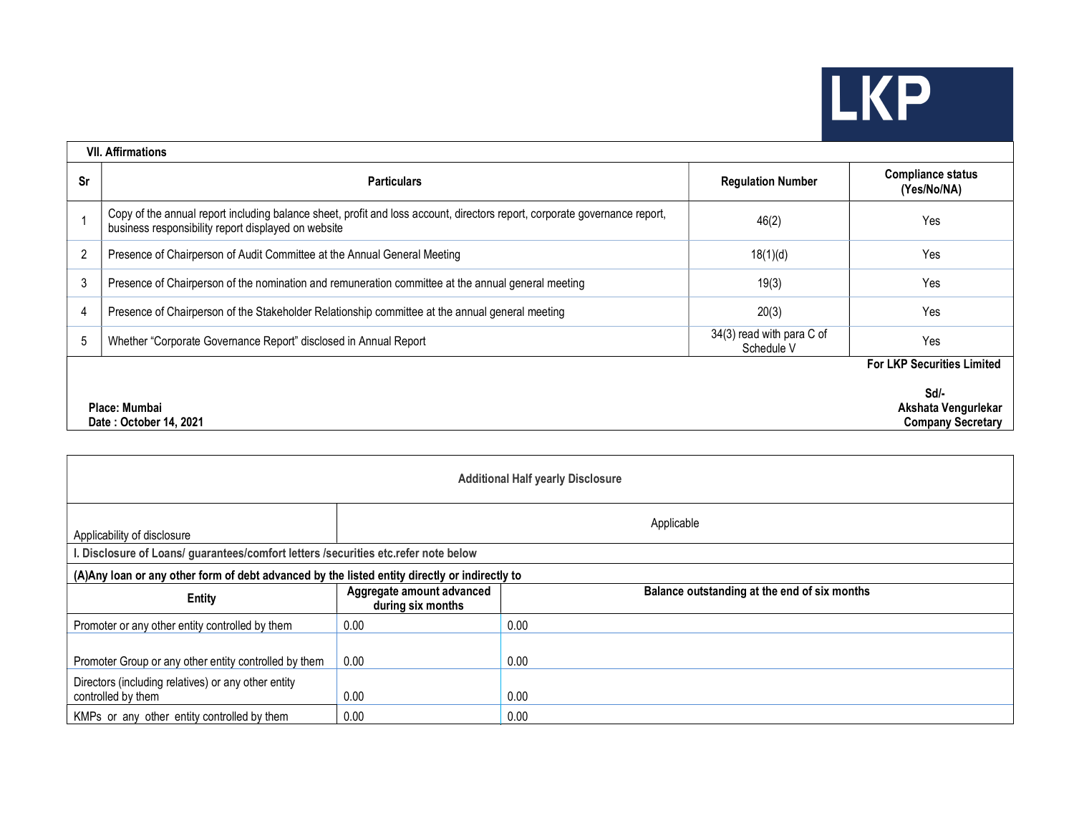## LKP

| <b>VII. Affirmations</b> |                                                                                                                                                                                   |                                         |                                                         |  |  |  |  |
|--------------------------|-----------------------------------------------------------------------------------------------------------------------------------------------------------------------------------|-----------------------------------------|---------------------------------------------------------|--|--|--|--|
| Sr                       | <b>Particulars</b>                                                                                                                                                                | <b>Regulation Number</b>                | <b>Compliance status</b><br>(Yes/No/NA)                 |  |  |  |  |
|                          | Copy of the annual report including balance sheet, profit and loss account, directors report, corporate governance report,<br>business responsibility report displayed on website | 46(2)                                   | Yes                                                     |  |  |  |  |
| $\overline{2}$           | Presence of Chairperson of Audit Committee at the Annual General Meeting                                                                                                          | 18(1)(d)                                | Yes                                                     |  |  |  |  |
| 3                        | Presence of Chairperson of the nomination and remuneration committee at the annual general meeting                                                                                | 19(3)                                   | Yes                                                     |  |  |  |  |
| 4                        | Presence of Chairperson of the Stakeholder Relationship committee at the annual general meeting                                                                                   | 20(3)                                   | Yes                                                     |  |  |  |  |
| 5                        | Whether "Corporate Governance Report" disclosed in Annual Report                                                                                                                  | 34(3) read with para C of<br>Schedule V | Yes                                                     |  |  |  |  |
|                          |                                                                                                                                                                                   |                                         | <b>For LKP Securities Limited</b>                       |  |  |  |  |
|                          | Place: Mumbai<br>Date: October 14, 2021                                                                                                                                           |                                         | Sd/-<br>Akshata Vengurlekar<br><b>Company Secretary</b> |  |  |  |  |

| <b>Additional Half yearly Disclosure</b>                                                       |                                                |                                              |  |  |  |  |  |  |
|------------------------------------------------------------------------------------------------|------------------------------------------------|----------------------------------------------|--|--|--|--|--|--|
| Applicable<br>Applicability of disclosure                                                      |                                                |                                              |  |  |  |  |  |  |
| . Disclosure of Loans/ guarantees/comfort letters /securities etc.refer note below             |                                                |                                              |  |  |  |  |  |  |
| (A) Any loan or any other form of debt advanced by the listed entity directly or indirectly to |                                                |                                              |  |  |  |  |  |  |
| <b>Entity</b>                                                                                  | Aggregate amount advanced<br>during six months | Balance outstanding at the end of six months |  |  |  |  |  |  |
| Promoter or any other entity controlled by them                                                | 0.00                                           | 0.00                                         |  |  |  |  |  |  |
| Promoter Group or any other entity controlled by them                                          | 0.00                                           | 0.00                                         |  |  |  |  |  |  |
| Directors (including relatives) or any other entity<br>controlled by them                      | 0.00                                           | 0.00                                         |  |  |  |  |  |  |
| KMPs or any other entity controlled by them                                                    | 0.00                                           | 0.00                                         |  |  |  |  |  |  |